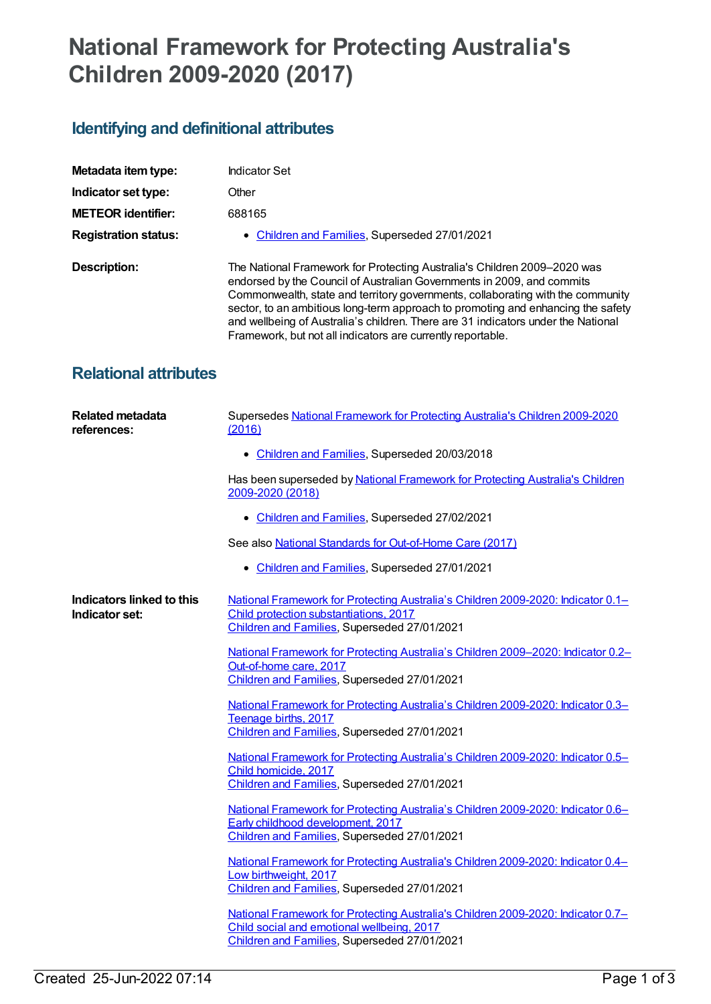## **National Framework for Protecting Australia's Children 2009-2020 (2017)**

## **Identifying and definitional attributes**

| Metadata item type:          | Indicator Set                                                                                                                                                                                                                                                                                                                                                                                                                                                                 |
|------------------------------|-------------------------------------------------------------------------------------------------------------------------------------------------------------------------------------------------------------------------------------------------------------------------------------------------------------------------------------------------------------------------------------------------------------------------------------------------------------------------------|
| Indicator set type:          | Other                                                                                                                                                                                                                                                                                                                                                                                                                                                                         |
| <b>METEOR identifier:</b>    | 688165                                                                                                                                                                                                                                                                                                                                                                                                                                                                        |
| <b>Registration status:</b>  | • Children and Families, Superseded 27/01/2021                                                                                                                                                                                                                                                                                                                                                                                                                                |
| Description:                 | The National Framework for Protecting Australia's Children 2009-2020 was<br>endorsed by the Council of Australian Governments in 2009, and commits<br>Commonwealth, state and territory governments, collaborating with the community<br>sector, to an ambitious long-term approach to promoting and enhancing the safety<br>and wellbeing of Australia's children. There are 31 indicators under the National<br>Framework, but not all indicators are currently reportable. |
| <b>Relational attributes</b> |                                                                                                                                                                                                                                                                                                                                                                                                                                                                               |

| <b>Related metadata</b><br>references:      | Supersedes National Framework for Protecting Australia's Children 2009-2020<br>(2016)                                                                                          |
|---------------------------------------------|--------------------------------------------------------------------------------------------------------------------------------------------------------------------------------|
|                                             | • Children and Families, Superseded 20/03/2018                                                                                                                                 |
|                                             | Has been superseded by National Framework for Protecting Australia's Children<br>2009-2020 (2018)                                                                              |
|                                             | • Children and Families, Superseded 27/02/2021                                                                                                                                 |
|                                             | See also National Standards for Out-of-Home Care (2017)                                                                                                                        |
|                                             | Children and Families, Superseded 27/01/2021<br>٠                                                                                                                              |
| Indicators linked to this<br>Indicator set: | National Framework for Protecting Australia's Children 2009-2020: Indicator 0.1-<br>Child protection substantiations, 2017<br>Children and Families, Superseded 27/01/2021     |
|                                             | National Framework for Protecting Australia's Children 2009-2020: Indicator 0.2-<br>Out-of-home care, 2017<br>Children and Families, Superseded 27/01/2021                     |
|                                             | National Framework for Protecting Australia's Children 2009-2020: Indicator 0.3-<br>Teenage births, 2017<br>Children and Families, Superseded 27/01/2021                       |
|                                             | National Framework for Protecting Australia's Children 2009-2020: Indicator 0.5–<br>Child homicide, 2017<br>Children and Families, Superseded 27/01/2021                       |
|                                             | National Framework for Protecting Australia's Children 2009-2020: Indicator 0.6-<br>Early childhood development, 2017<br>Children and Families, Superseded 27/01/2021          |
|                                             | National Framework for Protecting Australia's Children 2009-2020: Indicator 0.4-<br>Low birthweight, 2017<br>Children and Families, Superseded 27/01/2021                      |
|                                             | National Framework for Protecting Australia's Children 2009-2020: Indicator 0.7-<br>Child social and emotional wellbeing, 2017<br>Children and Families, Superseded 27/01/2021 |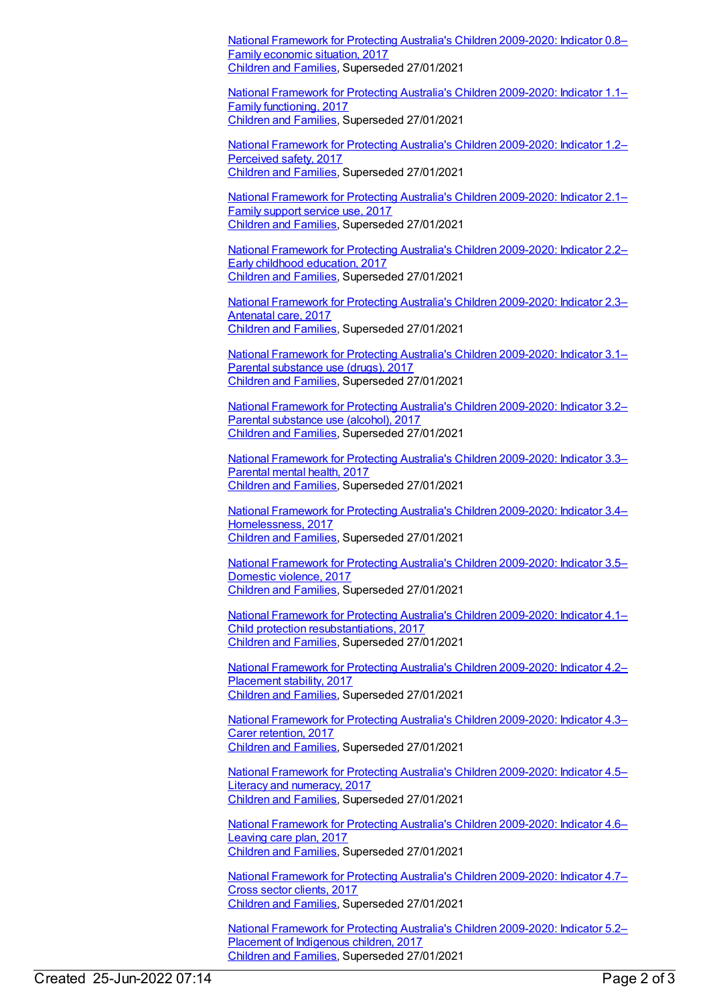National Framework for Protecting Australia's Children [2009-2020:](https://meteor.aihw.gov.au/content/688182) Indicator 0.8– Family economic situation, 2017 [Children](https://meteor.aihw.gov.au/RegistrationAuthority/17) and Families, Superseded 27/01/2021

National Framework for Protecting Australia's Children [2009-2020:](https://meteor.aihw.gov.au/content/688184) Indicator 1.1– Family functioning, 2017 [Children](https://meteor.aihw.gov.au/RegistrationAuthority/17) and Families, Superseded 27/01/2021

National Framework for Protecting Australia's Children [2009-2020:](https://meteor.aihw.gov.au/content/688186) Indicator 1.2– Perceived safety, 2017 [Children](https://meteor.aihw.gov.au/RegistrationAuthority/17) and Families, Superseded 27/01/2021

National Framework for Protecting Australia's Children [2009-2020:](https://meteor.aihw.gov.au/content/688188) Indicator 2.1– Family support service use, 2017 [Children](https://meteor.aihw.gov.au/RegistrationAuthority/17) and Families, Superseded 27/01/2021

National Framework for Protecting Australia's Children [2009-2020:](https://meteor.aihw.gov.au/content/688190) Indicator 2.2– Early childhood education, 2017 [Children](https://meteor.aihw.gov.au/RegistrationAuthority/17) and Families, Superseded 27/01/2021

National Framework for Protecting Australia's Children [2009-2020:](https://meteor.aihw.gov.au/content/688192) Indicator 2.3– Antenatal care, 2017 [Children](https://meteor.aihw.gov.au/RegistrationAuthority/17) and Families, Superseded 27/01/2021

National Framework for Protecting Australia's Children [2009-2020:](https://meteor.aihw.gov.au/content/688194) Indicator 3.1– Parental substance use (drugs), 2017 [Children](https://meteor.aihw.gov.au/RegistrationAuthority/17) and Families, Superseded 27/01/2021

National Framework for Protecting Australia's Children [2009-2020:](https://meteor.aihw.gov.au/content/688196) Indicator 3.2– Parental substance use (alcohol), 2017 [Children](https://meteor.aihw.gov.au/RegistrationAuthority/17) and Families, Superseded 27/01/2021

National Framework for Protecting Australia's Children [2009-2020:](https://meteor.aihw.gov.au/content/688198) Indicator 3.3– Parental mental health, 2017 [Children](https://meteor.aihw.gov.au/RegistrationAuthority/17) and Families, Superseded 27/01/2021

National Framework for Protecting Australia's Children 2009-2020: Indicator 3.4– [Homelessness,](https://meteor.aihw.gov.au/content/688200) 2017 [Children](https://meteor.aihw.gov.au/RegistrationAuthority/17) and Families, Superseded 27/01/2021

National Framework for Protecting Australia's Children [2009-2020:](https://meteor.aihw.gov.au/content/688202) Indicator 3.5– Domestic violence, 2017 [Children](https://meteor.aihw.gov.au/RegistrationAuthority/17) and Families, Superseded 27/01/2021

National Framework for Protecting Australia's Children 2009-2020: Indicator 4.1– Child protection [resubstantiations,](https://meteor.aihw.gov.au/content/688204) 2017 [Children](https://meteor.aihw.gov.au/RegistrationAuthority/17) and Families, Superseded 27/01/2021

National Framework for Protecting Australia's Children [2009-2020:](https://meteor.aihw.gov.au/content/688206) Indicator 4.2– Placement stability, 2017 [Children](https://meteor.aihw.gov.au/RegistrationAuthority/17) and Families, Superseded 27/01/2021

National Framework for Protecting Australia's Children [2009-2020:](https://meteor.aihw.gov.au/content/688208) Indicator 4.3– Carer retention, 2017 [Children](https://meteor.aihw.gov.au/RegistrationAuthority/17) and Families, Superseded 27/01/2021

National Framework for Protecting Australia's Children [2009-2020:](https://meteor.aihw.gov.au/content/688210) Indicator 4.5– Literacy and numeracy, 2017 [Children](https://meteor.aihw.gov.au/RegistrationAuthority/17) and Families, Superseded 27/01/2021

National Framework for Protecting Australia's Children [2009-2020:](https://meteor.aihw.gov.au/content/688212) Indicator 4.6– Leaving care plan, 2017 [Children](https://meteor.aihw.gov.au/RegistrationAuthority/17) and Families, Superseded 27/01/2021

National Framework for Protecting Australia's Children [2009-2020:](https://meteor.aihw.gov.au/content/688578) Indicator 4.7– Cross sector clients, 2017 [Children](https://meteor.aihw.gov.au/RegistrationAuthority/17) and Families, Superseded 27/01/2021

National Framework for Protecting Australia's Children [2009-2020:](https://meteor.aihw.gov.au/content/688214) Indicator 5.2– Placement of Indigenous children, 2017 [Children](https://meteor.aihw.gov.au/RegistrationAuthority/17) and Families, Superseded 27/01/2021